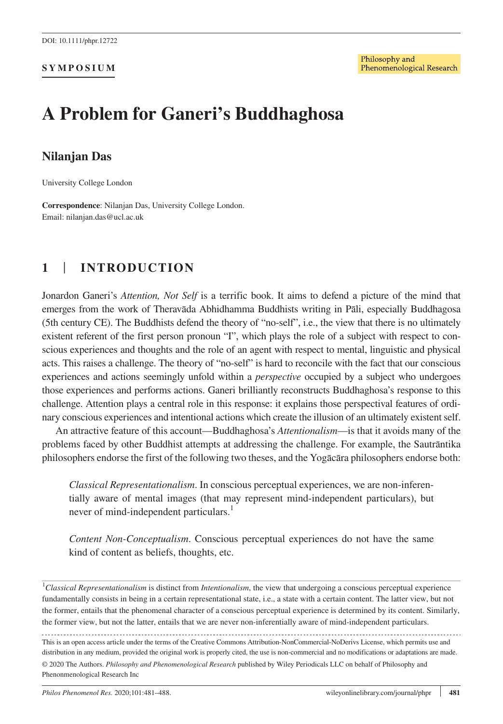#### **SYMPOSIUM**

# **A Problem for Ganeri's Buddhaghosa**

#### **Nilanjan Das**

University College London

**Correspondence**: Nilanjan Das, University College London. Email: [nilanjan.das@ucl.ac.uk](mailto:nilanjan.das@ucl.ac.uk)

# **1** | **INTRODUCTION**

Jonardon Ganeri's *Attention, Not Self* is a terrific book. It aims to defend a picture of the mind that emerges from the work of Theravāda Abhidhamma Buddhists writing in Pāli, especially Buddhagosa (5th century CE). The Buddhists defend the theory of "no-self", i.e., the view that there is no ultimately existent referent of the first person pronoun "I", which plays the role of a subject with respect to conscious experiences and thoughts and the role of an agent with respect to mental, linguistic and physical acts. This raises a challenge. The theory of "no-self" is hard to reconcile with the fact that our conscious experiences and actions seemingly unfold within a *perspective* occupied by a subject who undergoes those experiences and performs actions. Ganeri brilliantly reconstructs Buddhaghosa's response to this challenge. Attention plays a central role in this response: it explains those perspectival features of ordinary conscious experiences and intentional actions which create the illusion of an ultimately existent self.

An attractive feature of this account—Buddhaghosa's *Attentionalism*—is that it avoids many of the problems faced by other Buddhist attempts at addressing the challenge. For example, the Sautrāntika philosophers endorse the first of the following two theses, and the Yogācāra philosophers endorse both:

*Classical Representationalism*. In conscious perceptual experiences, we are non-inferentially aware of mental images (that may represent mind-independent particulars), but never of mind-independent particulars.<sup>1</sup>

*Content Non-Conceptualism*. Conscious perceptual experiences do not have the same kind of content as beliefs, thoughts, etc.

1 *Classical Representationalism* is distinct from *Intentionalism*, the view that undergoing a conscious perceptual experience fundamentally consists in being in a certain representational state, i.e., a state with a certain content. The latter view, but not the former, entails that the phenomenal character of a conscious perceptual experience is determined by its content. Similarly, the former view, but not the latter, entails that we are never non-inferentially aware of mind-independent particulars.

This is an open access article under the terms of the [Creative Commons Attribution-NonCommercial-NoDerivs](http://creativecommons.org/licenses/by-nc-nd/4.0/) License, which permits use and distribution in any medium, provided the original work is properly cited, the use is non-commercial and no modifications or adaptations are made.© 2020 The Authors. *Philosophy and Phenomenological Research* published by Wiley Periodicals LLC on behalf of Philosophy and Phenonmenological Research Inc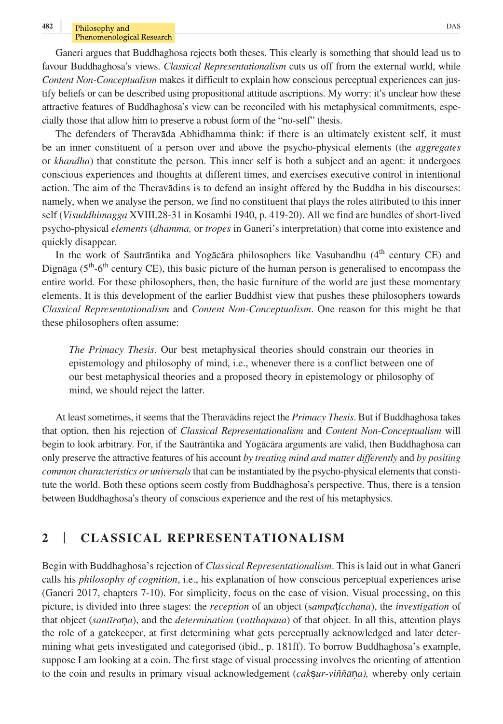Ganeri argues that Buddhaghosa rejects both theses. This clearly is something that should lead us to favour Buddhaghosa's views. *Classical Representationalism* cuts us off from the external world, while *Content Non-Conceptualism* makes it difficult to explain how conscious perceptual experiences can justify beliefs or can be described using propositional attitude ascriptions. My worry: it's unclear how these attractive features of Buddhaghosa's view can be reconciled with his metaphysical commitments, especially those that allow him to preserve a robust form of the "no-self" thesis.

The defenders of Theravāda Abhidhamma think: if there is an ultimately existent self, it must be an inner constituent of a person over and above the psycho-physical elements (the *aggregates* or *khandha*) that constitute the person. This inner self is both a subject and an agent: it undergoes conscious experiences and thoughts at different times, and exercises executive control in intentional action. The aim of the Theravādins is to defend an insight offered by the Buddha in his discourses: namely, when we analyse the person, we find no constituent that plays the roles attributed to this inner self (*Visuddhimagga* XVIII.28-31 in Kosambi 1940, p. 419-20). All we find are bundles of short-lived psycho-physical *elements* (*dhamma,* or *tropes* in Ganeri's interpretation) that come into existence and quickly disappear.

In the work of Sautrāntika and Yogācāra philosophers like Vasubandhu  $(4<sup>th</sup>$  century CE) and Dignāga ( $5<sup>th</sup>$ -6<sup>th</sup> century CE), this basic picture of the human person is generalised to encompass the entire world. For these philosophers, then, the basic furniture of the world are just these momentary elements. It is this development of the earlier Buddhist view that pushes these philosophers towards *Classical Representationalism* and *Content Non-Conceptualism*. One reason for this might be that these philosophers often assume:

*The Primacy Thesis*. Our best metaphysical theories should constrain our theories in epistemology and philosophy of mind, i.e., whenever there is a conflict between one of our best metaphysical theories and a proposed theory in epistemology or philosophy of mind, we should reject the latter.

At least sometimes, it seems that the Theravādins reject the *Primacy Thesis*. But if Buddhaghosa takes that option, then his rejection of *Classical Representationalism* and *Content Non-Conceptualism* will begin to look arbitrary. For, if the Sautrāntika and Yogācāra arguments are valid, then Buddhaghosa can only preserve the attractive features of his account *by treating mind and matter differently* and *by positing common characteristics or universals* that can be instantiated by the psycho-physical elements that constitute the world. Both these options seem costly from Buddhaghosa's perspective. Thus, there is a tension between Buddhaghosa's theory of conscious experience and the rest of his metaphysics.

# **2** | **CLASSICAL REPRESENTATIONALISM**

Begin with Buddhaghosa's rejection of *Classical Representationalism*. This is laid out in what Ganeri calls his *philosophy of cognition*, i.e., his explanation of how conscious perceptual experiences arise (Ganeri 2017, chapters 7-10). For simplicity, focus on the case of vision. Visual processing, on this picture, is divided into three stages: the *reception* of an object (s*ampa*ṭ*icchana*), the *investigation* of that object (*santīra*ṇ*a*), and the *determination* (*votthapana*) of that object. In all this, attention plays the role of a gatekeeper, at first determining what gets perceptually acknowledged and later determining what gets investigated and categorised (ibid., p. 181ff). To borrow Buddhaghosa's example, suppose I am looking at a coin. The first stage of visual processing involves the orienting of attention to the coin and results in primary visual acknowledgement (*cak*ṣ*ur*-*viññā*ṇ*a),* whereby only certain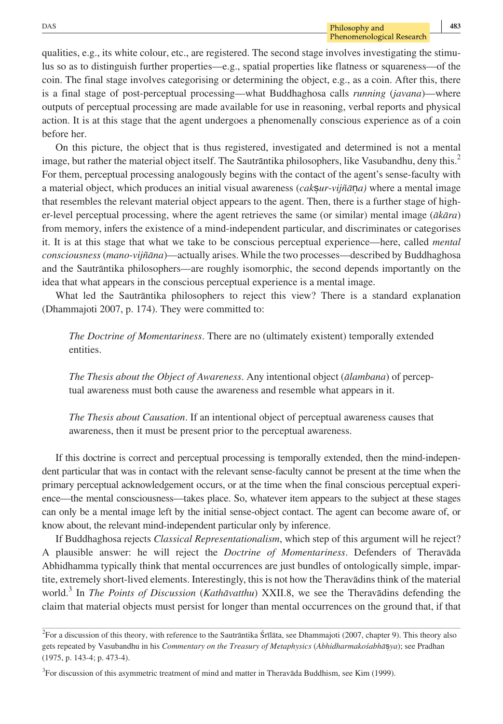qualities, e.g., its white colour, etc., are registered. The second stage involves investigating the stimulus so as to distinguish further properties—e.g., spatial properties like flatness or squareness—of the coin. The final stage involves categorising or determining the object, e.g., as a coin. After this, there is a final stage of post-perceptual processing—what Buddhaghosa calls *running* (*javana*)—where outputs of perceptual processing are made available for use in reasoning, verbal reports and physical action. It is at this stage that the agent undergoes a phenomenally conscious experience as of a coin before her.

On this picture, the object that is thus registered, investigated and determined is not a mental image, but rather the material object itself. The Sautrāntika philosophers, like Vasubandhu, deny this.<sup>2</sup> For them, perceptual processing analogously begins with the contact of the agent's sense-faculty with a material object, which produces an initial visual awareness (*cak*ṣ*ur*-*vijñā*ṇ*a)* where a mental image that resembles the relevant material object appears to the agent. Then, there is a further stage of higher-level perceptual processing, where the agent retrieves the same (or similar) mental image (*ākāra*) from memory, infers the existence of a mind-independent particular, and discriminates or categorises it. It is at this stage that what we take to be conscious perceptual experience—here, called *mental consciousness* (*mano-vijñāna*)—actually arises. While the two processes—described by Buddhaghosa and the Sautrāntika philosophers—are roughly isomorphic, the second depends importantly on the idea that what appears in the conscious perceptual experience is a mental image.

What led the Sautrāntika philosophers to reject this view? There is a standard explanation (Dhammajoti 2007, p. 174). They were committed to:

*The Doctrine of Momentariness*. There are no (ultimately existent) temporally extended entities.

*The Thesis about the Object of Awareness*. Any intentional object (*ālambana*) of perceptual awareness must both cause the awareness and resemble what appears in it.

*The Thesis about Causation*. If an intentional object of perceptual awareness causes that awareness, then it must be present prior to the perceptual awareness.

If this doctrine is correct and perceptual processing is temporally extended, then the mind-independent particular that was in contact with the relevant sense-faculty cannot be present at the time when the primary perceptual acknowledgement occurs, or at the time when the final conscious perceptual experience—the mental consciousness—takes place. So, whatever item appears to the subject at these stages can only be a mental image left by the initial sense-object contact. The agent can become aware of, or know about, the relevant mind-independent particular only by inference.

If Buddhaghosa rejects *Classical Representationalism*, which step of this argument will he reject? A plausible answer: he will reject the *Doctrine of Momentariness*. Defenders of Theravāda Abhidhamma typically think that mental occurrences are just bundles of ontologically simple, impartite, extremely short-lived elements. Interestingly, this is not how the Theravādins think of the material world.3 In *The Points of Discussion* (*Kathāvatthu*) XXII.8, we see the Theravādins defending the claim that material objects must persist for longer than mental occurrences on the ground that, if that

<sup>2</sup> For a discussion of this theory, with reference to the Sautrāntika Śrīlāta, see Dhammajoti (2007, chapter 9). This theory also gets repeated by Vasubandhu in his *Commentary on the Treasury of Metaphysics* (*Abhidharmakośabhā*ṣ*ya*); see Pradhan (1975, p. 143-4; p. 473-4).

<sup>&</sup>lt;sup>3</sup>For discussion of this asymmetric treatment of mind and matter in Theravada Buddhism, see Kim (1999).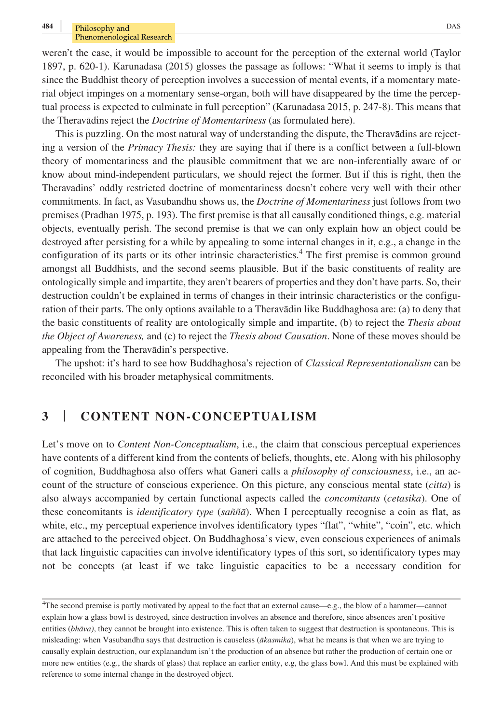weren't the case, it would be impossible to account for the perception of the external world (Taylor 1897, p. 620-1). Karunadasa (2015) glosses the passage as follows: "What it seems to imply is that since the Buddhist theory of perception involves a succession of mental events, if a momentary material object impinges on a momentary sense-organ, both will have disappeared by the time the perceptual process is expected to culminate in full perception" (Karunadasa 2015, p. 247-8). This means that the Theravādins reject the *Doctrine of Momentariness* (as formulated here).

This is puzzling. On the most natural way of understanding the dispute, the Theravādins are rejecting a version of the *Primacy Thesis:* they are saying that if there is a conflict between a full-blown theory of momentariness and the plausible commitment that we are non-inferentially aware of or know about mind-independent particulars, we should reject the former. But if this is right, then the Theravadins' oddly restricted doctrine of momentariness doesn't cohere very well with their other commitments. In fact, as Vasubandhu shows us, the *Doctrine of Momentariness* just follows from two premises (Pradhan 1975, p. 193). The first premise is that all causally conditioned things, e.g. material objects, eventually perish. The second premise is that we can only explain how an object could be destroyed after persisting for a while by appealing to some internal changes in it, e.g., a change in the configuration of its parts or its other intrinsic characteristics.<sup>4</sup> The first premise is common ground amongst all Buddhists, and the second seems plausible. But if the basic constituents of reality are ontologically simple and impartite, they aren't bearers of properties and they don't have parts. So, their destruction couldn't be explained in terms of changes in their intrinsic characteristics or the configuration of their parts. The only options available to a Theravādin like Buddhaghosa are: (a) to deny that the basic constituents of reality are ontologically simple and impartite, (b) to reject the *Thesis about the Object of Awareness,* and (c) to reject the *Thesis about Causation*. None of these moves should be appealing from the Theravādin's perspective.

The upshot: it's hard to see how Buddhaghosa's rejection of *Classical Representationalism* can be reconciled with his broader metaphysical commitments.

### **3** | **CONTENT NON-CONCEPTUALISM**

Let's move on to *Content Non-Conceptualism*, i.e., the claim that conscious perceptual experiences have contents of a different kind from the contents of beliefs, thoughts, etc. Along with his philosophy of cognition, Buddhaghosa also offers what Ganeri calls a *philosophy of consciousness*, i.e., an account of the structure of conscious experience. On this picture, any conscious mental state (*citta*) is also always accompanied by certain functional aspects called the *concomitants* (*cetasika*). One of these concomitants is *identificatory type* (*saññā*). When I perceptually recognise a coin as flat, as white, etc., my perceptual experience involves identificatory types "flat", "white", "coin", etc. which are attached to the perceived object. On Buddhaghosa's view, even conscious experiences of animals that lack linguistic capacities can involve identificatory types of this sort, so identificatory types may not be concepts (at least if we take linguistic capacities to be a necessary condition for

<sup>4</sup> The second premise is partly motivated by appeal to the fact that an external cause—e.g., the blow of a hammer—cannot explain how a glass bowl is destroyed, since destruction involves an absence and therefore, since absences aren't positive entities (*bhāva*), they cannot be brought into existence. This is often taken to suggest that destruction is spontaneous. This is misleading: when Vasubandhu says that destruction is causeless (*ākasmika*), what he means is that when we are trying to causally explain destruction, our explanandum isn't the production of an absence but rather the production of certain one or more new entities (e.g., the shards of glass) that replace an earlier entity, e.g, the glass bowl. And this must be explained with reference to some internal change in the destroyed object.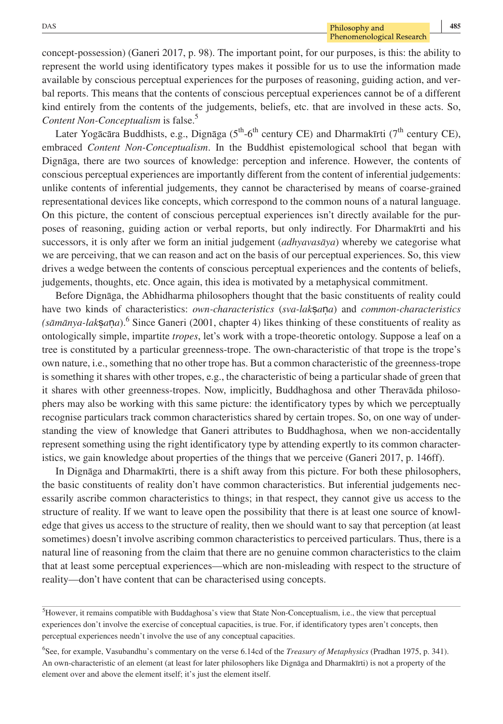concept-possession) (Ganeri 2017, p. 98). The important point, for our purposes, is this: the ability to represent the world using identificatory types makes it possible for us to use the information made available by conscious perceptual experiences for the purposes of reasoning, guiding action, and verbal reports. This means that the contents of conscious perceptual experiences cannot be of a different kind entirely from the contents of the judgements, beliefs, etc. that are involved in these acts. So, *Content Non-Conceptualism* is false.<sup>5</sup>

Later Yogācāra Buddhists, e.g., Dignāga ( $5<sup>th</sup>-6<sup>th</sup>$  century CE) and Dharmakīrti (7<sup>th</sup> century CE), embraced *Content Non-Conceptualism*. In the Buddhist epistemological school that began with Dignāga, there are two sources of knowledge: perception and inference. However, the contents of conscious perceptual experiences are importantly different from the content of inferential judgements: unlike contents of inferential judgements, they cannot be characterised by means of coarse-grained representational devices like concepts, which correspond to the common nouns of a natural language. On this picture, the content of conscious perceptual experiences isn't directly available for the purposes of reasoning, guiding action or verbal reports, but only indirectly. For Dharmakīrti and his successors, it is only after we form an initial judgement (*adhyavasāya*) whereby we categorise what we are perceiving, that we can reason and act on the basis of our perceptual experiences. So, this view drives a wedge between the contents of conscious perceptual experiences and the contents of beliefs, judgements, thoughts, etc. Once again, this idea is motivated by a metaphysical commitment.

Before Dignāga, the Abhidharma philosophers thought that the basic constituents of reality could have two kinds of characteristics: *own-characteristics* (*sva-lak*ṣ*a*ṇ*a*) and *common-characteristics (sāmānya-lak*ṣ*a*ṇ*a*).<sup>6</sup> Since Ganeri (2001, chapter 4) likes thinking of these constituents of reality as ontologically simple, impartite *tropes*, let's work with a trope-theoretic ontology. Suppose a leaf on a tree is constituted by a particular greenness-trope. The own-characteristic of that trope is the trope's own nature, i.e., something that no other trope has. But a common characteristic of the greenness-trope is something it shares with other tropes, e.g., the characteristic of being a particular shade of green that it shares with other greenness-tropes. Now, implicitly, Buddhaghosa and other Theravāda philosophers may also be working with this same picture: the identificatory types by which we perceptually recognise particulars track common characteristics shared by certain tropes. So, on one way of understanding the view of knowledge that Ganeri attributes to Buddhaghosa, when we non-accidentally represent something using the right identificatory type by attending expertly to its common characteristics, we gain knowledge about properties of the things that we perceive (Ganeri 2017, p. 146ff).

In Dignāga and Dharmakīrti, there is a shift away from this picture. For both these philosophers, the basic constituents of reality don't have common characteristics. But inferential judgements necessarily ascribe common characteristics to things; in that respect, they cannot give us access to the structure of reality. If we want to leave open the possibility that there is at least one source of knowledge that gives us access to the structure of reality, then we should want to say that perception (at least sometimes) doesn't involve ascribing common characteristics to perceived particulars. Thus, there is a natural line of reasoning from the claim that there are no genuine common characteristics to the claim that at least some perceptual experiences—which are non-misleading with respect to the structure of reality—don't have content that can be characterised using concepts.

<sup>5</sup> However, it remains compatible with Buddaghosa's view that State Non-Conceptualism, i.e., the view that perceptual experiences don't involve the exercise of conceptual capacities, is true. For, if identificatory types aren't concepts, then perceptual experiences needn't involve the use of any conceptual capacities.

<sup>6</sup> See, for example, Vasubandhu's commentary on the verse 6.14cd of the *Treasury of Metaphysics* (Pradhan 1975, p. 341). An own-characteristic of an element (at least for later philosophers like Dignāga and Dharmakīrti) is not a property of the element over and above the element itself; it's just the element itself.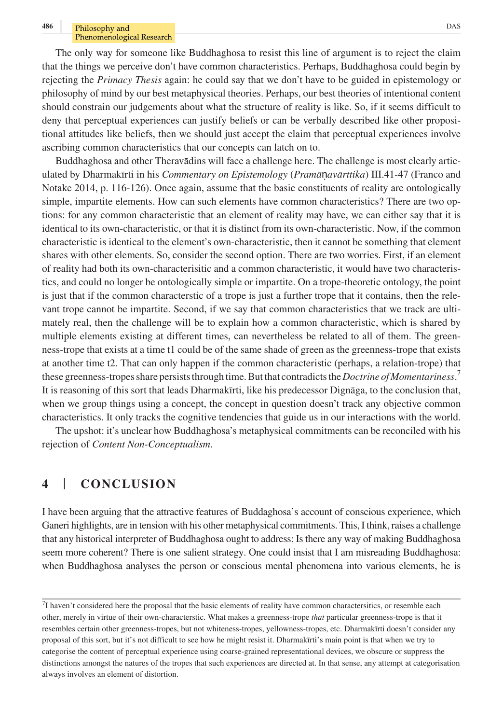The only way for someone like Buddhaghosa to resist this line of argument is to reject the claim that the things we perceive don't have common characteristics. Perhaps, Buddhaghosa could begin by rejecting the *Primacy Thesis* again: he could say that we don't have to be guided in epistemology or philosophy of mind by our best metaphysical theories. Perhaps, our best theories of intentional content should constrain our judgements about what the structure of reality is like. So, if it seems difficult to deny that perceptual experiences can justify beliefs or can be verbally described like other propositional attitudes like beliefs, then we should just accept the claim that perceptual experiences involve ascribing common characteristics that our concepts can latch on to.

Buddhaghosa and other Theravādins will face a challenge here. The challenge is most clearly articulated by Dharmakīrti in his *Commentary on Epistemology* (*Pramā*ṇ*avārttika*) III.41-47 (Franco and Notake 2014, p. 116-126). Once again, assume that the basic constituents of reality are ontologically simple, impartite elements. How can such elements have common characteristics? There are two options: for any common characteristic that an element of reality may have, we can either say that it is identical to its own-characteristic, or that it is distinct from its own-characteristic. Now, if the common characteristic is identical to the element's own-characteristic, then it cannot be something that element shares with other elements. So, consider the second option. There are two worries. First, if an element of reality had both its own-characterisitic and a common characteristic, it would have two characteristics, and could no longer be ontologically simple or impartite. On a trope-theoretic ontology, the point is just that if the common characterstic of a trope is just a further trope that it contains, then the relevant trope cannot be impartite. Second, if we say that common characteristics that we track are ultimately real, then the challenge will be to explain how a common characteristic, which is shared by multiple elements existing at different times, can nevertheless be related to all of them. The greenness-trope that exists at a time t1 could be of the same shade of green as the greenness-trope that exists at another time t2. That can only happen if the common characteristic (perhaps, a relation-trope) that these greenness-tropes share persists through time. But that contradicts the *Doctrine of Momentariness*. 7 It is reasoning of this sort that leads Dharmakīrti, like his predecessor Dignāga, to the conclusion that, when we group things using a concept, the concept in question doesn't track any objective common characteristics. It only tracks the cognitive tendencies that guide us in our interactions with the world.

The upshot: it's unclear how Buddhaghosa's metaphysical commitments can be reconciled with his rejection of *Content Non-Conceptualism*.

# **4** | **CONCLUSION**

I have been arguing that the attractive features of Buddaghosa's account of conscious experience, which Ganeri highlights, are in tension with his other metaphysical commitments. This, I think, raises a challenge that any historical interpreter of Buddhaghosa ought to address: Is there any way of making Buddhaghosa seem more coherent? There is one salient strategy. One could insist that I am misreading Buddhaghosa: when Buddhaghosa analyses the person or conscious mental phenomena into various elements, he is

<sup>&</sup>lt;sup>7</sup>I haven't considered here the proposal that the basic elements of reality have common charactersitics, or resemble each other, merely in virtue of their own-characterstic. What makes a greenness-trope *that* particular greenness-trope is that it resembles certain other greenness-tropes, but not whiteness-tropes, yellowness-tropes, etc. Dharmakīrti doesn't consider any proposal of this sort, but it's not difficult to see how he might resist it. Dharmakīrti's main point is that when we try to categorise the content of perceptual experience using coarse-grained representational devices, we obscure or suppress the distinctions amongst the natures of the tropes that such experiences are directed at. In that sense, any attempt at categorisation always involves an element of distortion.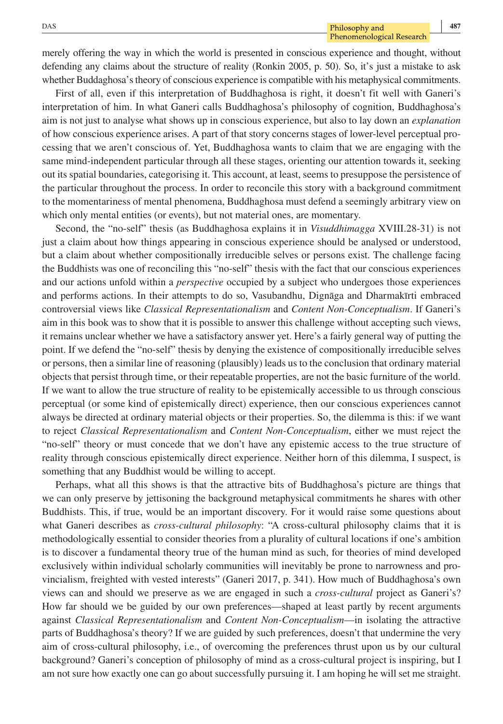merely offering the way in which the world is presented in conscious experience and thought, without defending any claims about the structure of reality (Ronkin 2005, p. 50). So, it's just a mistake to ask whether Buddaghosa's theory of conscious experience is compatible with his metaphysical commitments.

First of all, even if this interpretation of Buddhaghosa is right, it doesn't fit well with Ganeri's interpretation of him. In what Ganeri calls Buddhaghosa's philosophy of cognition, Buddhaghosa's aim is not just to analyse what shows up in conscious experience, but also to lay down an *explanation* of how conscious experience arises. A part of that story concerns stages of lower-level perceptual processing that we aren't conscious of. Yet, Buddhaghosa wants to claim that we are engaging with the same mind-independent particular through all these stages, orienting our attention towards it, seeking out its spatial boundaries, categorising it. This account, at least, seems to presuppose the persistence of the particular throughout the process. In order to reconcile this story with a background commitment to the momentariness of mental phenomena, Buddhaghosa must defend a seemingly arbitrary view on which only mental entities (or events), but not material ones, are momentary.

Second, the "no-self" thesis (as Buddhaghosa explains it in *Visuddhimagga* XVIII.28-31) is not just a claim about how things appearing in conscious experience should be analysed or understood, but a claim about whether compositionally irreducible selves or persons exist. The challenge facing the Buddhists was one of reconciling this "no-self" thesis with the fact that our conscious experiences and our actions unfold within a *perspective* occupied by a subject who undergoes those experiences and performs actions. In their attempts to do so, Vasubandhu, Dignāga and Dharmakīrti embraced controversial views like *Classical Representationalism* and *Content Non-Conceptualism*. If Ganeri's aim in this book was to show that it is possible to answer this challenge without accepting such views, it remains unclear whether we have a satisfactory answer yet. Here's a fairly general way of putting the point. If we defend the "no-self" thesis by denying the existence of compositionally irreducible selves or persons, then a similar line of reasoning (plausibly) leads us to the conclusion that ordinary material objects that persist through time, or their repeatable properties, are not the basic furniture of the world. If we want to allow the true structure of reality to be epistemically accessible to us through conscious perceptual (or some kind of epistemically direct) experience, then our conscious experiences cannot always be directed at ordinary material objects or their properties. So, the dilemma is this: if we want to reject *Classical Representationalism* and *Content Non-Conceptualism*, either we must reject the "no-self" theory or must concede that we don't have any epistemic access to the true structure of reality through conscious epistemically direct experience. Neither horn of this dilemma, I suspect, is something that any Buddhist would be willing to accept.

Perhaps, what all this shows is that the attractive bits of Buddhaghosa's picture are things that we can only preserve by jettisoning the background metaphysical commitments he shares with other Buddhists. This, if true, would be an important discovery. For it would raise some questions about what Ganeri describes as *cross-cultural philosophy*: "A cross-cultural philosophy claims that it is methodologically essential to consider theories from a plurality of cultural locations if one's ambition is to discover a fundamental theory true of the human mind as such, for theories of mind developed exclusively within individual scholarly communities will inevitably be prone to narrowness and provincialism, freighted with vested interests" (Ganeri 2017, p. 341). How much of Buddhaghosa's own views can and should we preserve as we are engaged in such a *cross-cultural* project as Ganeri's? How far should we be guided by our own preferences—shaped at least partly by recent arguments against *Classical Representationalism* and *Content Non-Conceptualism*—in isolating the attractive parts of Buddhaghosa's theory? If we are guided by such preferences, doesn't that undermine the very aim of cross-cultural philosophy, i.e., of overcoming the preferences thrust upon us by our cultural background? Ganeri's conception of philosophy of mind as a cross-cultural project is inspiring, but I am not sure how exactly one can go about successfully pursuing it. I am hoping he will set me straight.